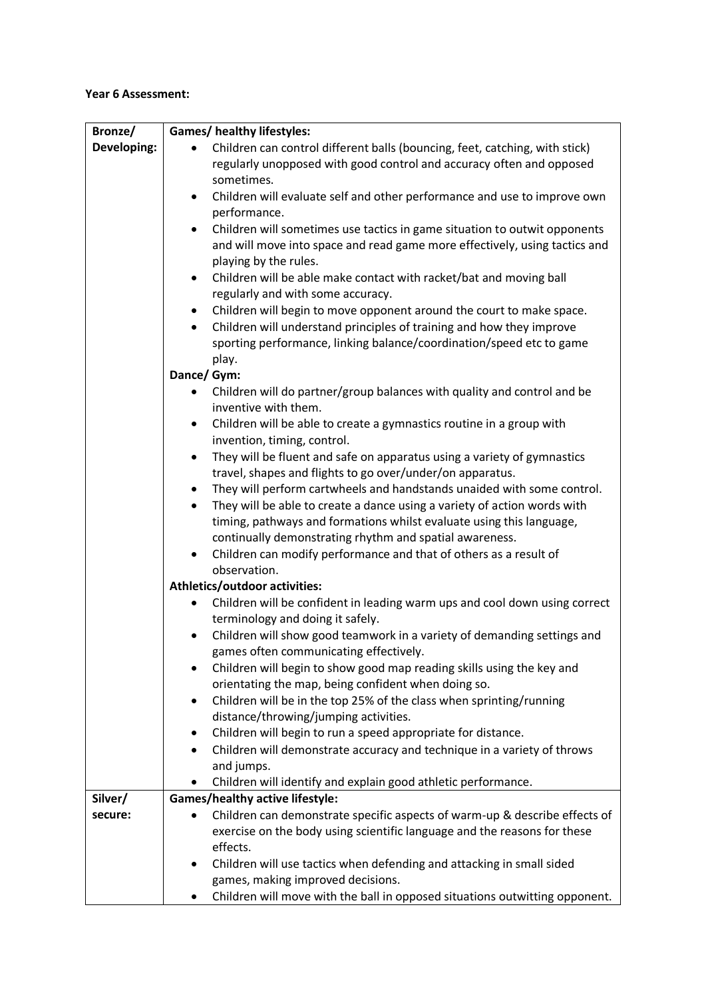## **Year 6 Assessment:**

| Bronze/     | <b>Games/ healthy lifestyles:</b>                                                                                           |
|-------------|-----------------------------------------------------------------------------------------------------------------------------|
| Developing: | Children can control different balls (bouncing, feet, catching, with stick)                                                 |
|             | regularly unopposed with good control and accuracy often and opposed                                                        |
|             | sometimes.                                                                                                                  |
|             | Children will evaluate self and other performance and use to improve own<br>$\bullet$                                       |
|             | performance.                                                                                                                |
|             | Children will sometimes use tactics in game situation to outwit opponents<br>$\bullet$                                      |
|             | and will move into space and read game more effectively, using tactics and                                                  |
|             | playing by the rules.                                                                                                       |
|             | Children will be able make contact with racket/bat and moving ball<br>٠                                                     |
|             | regularly and with some accuracy.                                                                                           |
|             | Children will begin to move opponent around the court to make space.<br>$\bullet$                                           |
|             | Children will understand principles of training and how they improve<br>$\bullet$                                           |
|             | sporting performance, linking balance/coordination/speed etc to game                                                        |
|             | play.                                                                                                                       |
|             | Dance/ Gym:                                                                                                                 |
|             | Children will do partner/group balances with quality and control and be<br>inventive with them.                             |
|             | Children will be able to create a gymnastics routine in a group with<br>٠                                                   |
|             | invention, timing, control.                                                                                                 |
|             | They will be fluent and safe on apparatus using a variety of gymnastics<br>$\bullet$                                        |
|             | travel, shapes and flights to go over/under/on apparatus.                                                                   |
|             | They will perform cartwheels and handstands unaided with some control.<br>$\bullet$                                         |
|             | They will be able to create a dance using a variety of action words with<br>$\bullet$                                       |
|             | timing, pathways and formations whilst evaluate using this language,                                                        |
|             | continually demonstrating rhythm and spatial awareness.                                                                     |
|             | Children can modify performance and that of others as a result of<br>$\bullet$                                              |
|             | observation.                                                                                                                |
|             | Athletics/outdoor activities:                                                                                               |
|             | Children will be confident in leading warm ups and cool down using correct<br>$\bullet$<br>terminology and doing it safely. |
|             | Children will show good teamwork in a variety of demanding settings and                                                     |
|             | games often communicating effectively.                                                                                      |
|             | Children will begin to show good map reading skills using the key and                                                       |
|             | orientating the map, being confident when doing so.                                                                         |
|             | Children will be in the top 25% of the class when sprinting/running<br>٠                                                    |
|             | distance/throwing/jumping activities.                                                                                       |
|             | Children will begin to run a speed appropriate for distance.                                                                |
|             | Children will demonstrate accuracy and technique in a variety of throws                                                     |
|             | and jumps.                                                                                                                  |
|             | Children will identify and explain good athletic performance.                                                               |
| Silver/     | <b>Games/healthy active lifestyle:</b>                                                                                      |
| secure:     | Children can demonstrate specific aspects of warm-up & describe effects of<br>٠                                             |
|             | exercise on the body using scientific language and the reasons for these                                                    |
|             | effects.                                                                                                                    |
|             | Children will use tactics when defending and attacking in small sided<br>٠                                                  |
|             | games, making improved decisions.                                                                                           |
|             | Children will move with the ball in opposed situations outwitting opponent.                                                 |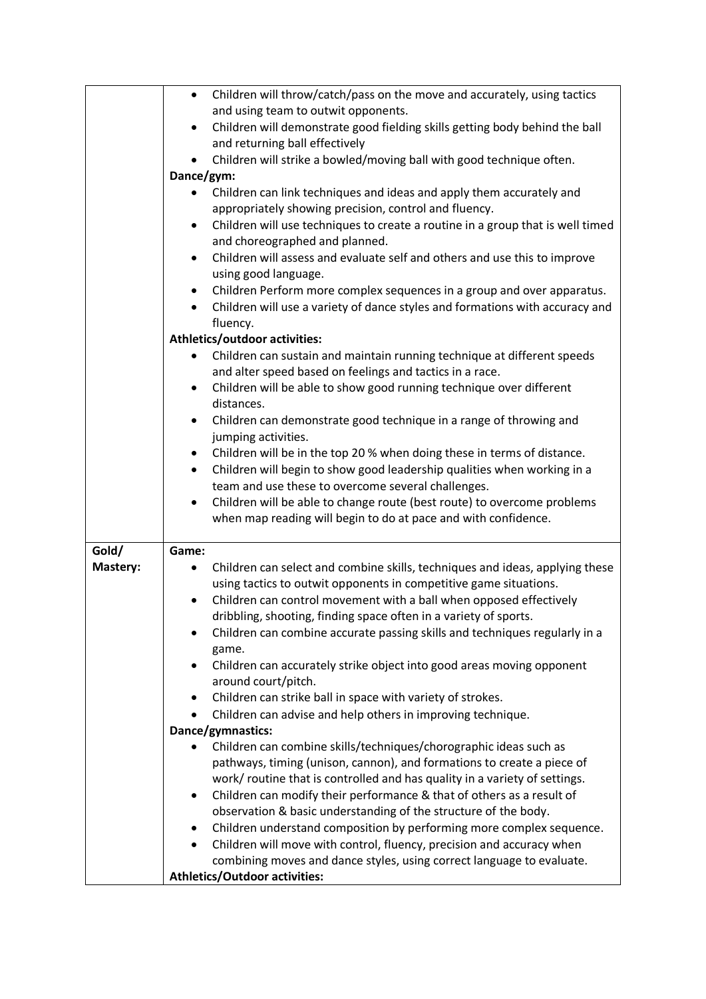|          | Children will throw/catch/pass on the move and accurately, using tactics<br>$\bullet$<br>and using team to outwit opponents.  |
|----------|-------------------------------------------------------------------------------------------------------------------------------|
|          |                                                                                                                               |
|          | Children will demonstrate good fielding skills getting body behind the ball<br>$\bullet$<br>and returning ball effectively    |
|          | Children will strike a bowled/moving ball with good technique often.                                                          |
|          | Dance/gym:                                                                                                                    |
|          | Children can link techniques and ideas and apply them accurately and<br>appropriately showing precision, control and fluency. |
|          | Children will use techniques to create a routine in a group that is well timed<br>٠                                           |
|          | and choreographed and planned.                                                                                                |
|          | Children will assess and evaluate self and others and use this to improve<br>$\bullet$                                        |
|          | using good language.                                                                                                          |
|          | Children Perform more complex sequences in a group and over apparatus.<br>٠                                                   |
|          | Children will use a variety of dance styles and formations with accuracy and<br>$\bullet$<br>fluency.                         |
|          | Athletics/outdoor activities:                                                                                                 |
|          | Children can sustain and maintain running technique at different speeds                                                       |
|          | and alter speed based on feelings and tactics in a race.                                                                      |
|          | Children will be able to show good running technique over different<br>$\bullet$                                              |
|          | distances.                                                                                                                    |
|          | Children can demonstrate good technique in a range of throwing and<br>$\bullet$                                               |
|          | jumping activities.                                                                                                           |
|          | Children will be in the top 20 % when doing these in terms of distance.<br>٠                                                  |
|          | Children will begin to show good leadership qualities when working in a<br>٠                                                  |
|          | team and use these to overcome several challenges.                                                                            |
|          | Children will be able to change route (best route) to overcome problems<br>$\bullet$                                          |
|          | when map reading will begin to do at pace and with confidence.                                                                |
|          |                                                                                                                               |
| Gold/    | Game:                                                                                                                         |
| Mastery: | Children can select and combine skills, techniques and ideas, applying these                                                  |
|          | using tactics to outwit opponents in competitive game situations.                                                             |
|          | Children can control movement with a ball when opposed effectively<br>$\bullet$                                               |
|          | dribbling, shooting, finding space often in a variety of sports.                                                              |
|          | Children can combine accurate passing skills and techniques regularly in a<br>game.                                           |
|          | Children can accurately strike object into good areas moving opponent                                                         |
|          | around court/pitch.                                                                                                           |
|          | Children can strike ball in space with variety of strokes.<br>$\bullet$                                                       |
|          | Children can advise and help others in improving technique.<br>$\bullet$                                                      |
|          | Dance/gymnastics:                                                                                                             |
|          | Children can combine skills/techniques/chorographic ideas such as                                                             |
|          | pathways, timing (unison, cannon), and formations to create a piece of                                                        |
|          | work/ routine that is controlled and has quality in a variety of settings.                                                    |
|          | Children can modify their performance & that of others as a result of<br>$\bullet$                                            |
|          | observation & basic understanding of the structure of the body.                                                               |
|          | Children understand composition by performing more complex sequence.<br>٠                                                     |
|          | Children will move with control, fluency, precision and accuracy when<br>$\bullet$                                            |
|          | combining moves and dance styles, using correct language to evaluate.                                                         |
|          | <b>Athletics/Outdoor activities:</b>                                                                                          |